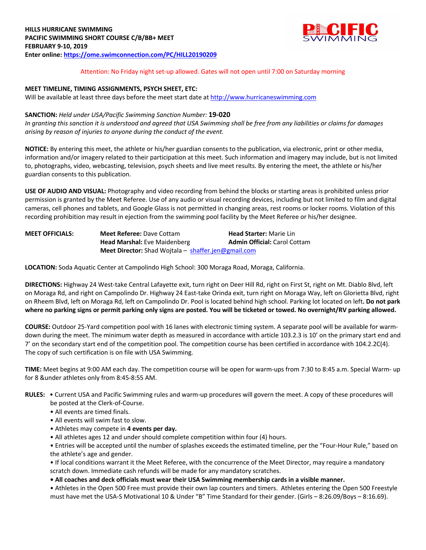

## Attention: No Friday night set-up allowed. Gates will not open until 7:00 on Saturday morning

## **MEET TIMELINE, TIMING ASSIGNMENTS, PSYCH SHEET, ETC:**

Will be available at least three days before the meet start date at http://www.hurricaneswimming.com

## **SANCTION:** *Held under USA/Pacific Swimming Sanction Number:* **19-020**

*In granting this sanction it is understood and agreed that USA Swimming shall be free from any liabilities or claims for damages arising by reason of injuries to anyone during the conduct of the event.* 

**NOTICE:** By entering this meet, the athlete or his/her guardian consents to the publication, via electronic, print or other media, information and/or imagery related to their participation at this meet. Such information and imagery may include, but is not limited to, photographs, video, webcasting, television, psych sheets and live meet results. By entering the meet, the athlete or his/her guardian consents to this publication.

**USE OF AUDIO AND VISUAL:** Photography and video recording from behind the blocks or starting areas is prohibited unless prior permission is granted by the Meet Referee. Use of any audio or visual recording devices, including but not limited to film and digital cameras, cell phones and tablets, and Google Glass is not permitted in changing areas, rest rooms or locker rooms. Violation of this recording prohibition may result in ejection from the swimming pool facility by the Meet Referee or his/her designee.

| <b>MEET OFFICIALS:</b> | <b>Meet Referee: Dave Cottam</b>                           | <b>Head Starter: Marie Lin</b>      |  |  |
|------------------------|------------------------------------------------------------|-------------------------------------|--|--|
|                        | <b>Head Marshal:</b> Eve Maidenberg                        | <b>Admin Official: Carol Cottam</b> |  |  |
|                        | <b>Meet Director:</b> Shad Wojtala – shaffer.jen@gmail.com |                                     |  |  |

**LOCATION:** Soda Aquatic Center at Campolindo High School: 300 Moraga Road, Moraga, California.

**DIRECTIONS:** Highway 24 West-take Central Lafayette exit, turn right on Deer Hill Rd, right on First St, right on Mt. Diablo Blvd, left on Moraga Rd, and right on Campolindo Dr. Highway 24 East-take Orinda exit, turn right on Moraga Way, left on Glorietta Blvd, right on Rheem Blvd, left on Moraga Rd, left on Campolindo Dr. Pool is located behind high school. Parking lot located on left**. Do not park where no parking signs or permit parking only signs are posted. You will be ticketed or towed. No overnight/RV parking allowed.** 

**COURSE:** Outdoor 25-Yard competition pool with 16 lanes with electronic timing system. A separate pool will be available for warmdown during the meet. The minimum water depth as measured in accordance with article 103.2.3 is 10' on the primary start end and 7' on the secondary start end of the competition pool. The competition course has been certified in accordance with 104.2.2C(4). The copy of such certification is on file with USA Swimming.

**TIME:** Meet begins at 9:00 AM each day. The competition course will be open for warm-ups from 7:30 to 8:45 a.m. Special Warm- up for 8 &under athletes only from 8:45-8:55 AM.

- **RULES:** Current USA and Pacific Swimming rules and warm-up procedures will govern the meet. A copy of these procedures will be posted at the Clerk-of-Course.
	- All events are timed finals.
	- All events will swim fast to slow.
	- Athletes may compete in **4 events per day.**
	- All athletes ages 12 and under should complete competition within four (4) hours.

• Entries will be accepted until the number of splashes exceeds the estimated timeline, per the "Four-Hour Rule," based on the athlete's age and gender.

• If local conditions warrant it the Meet Referee, with the concurrence of the Meet Director, may require a mandatory scratch down. Immediate cash refunds will be made for any mandatory scratches.

**• All coaches and deck officials must wear their USA Swimming membership cards in a visible manner.** 

• Athletes in the Open 500 Free must provide their own lap counters and timers. Athletes entering the Open 500 Freestyle must have met the USA-S Motivational 10 & Under "B" Time Standard for their gender. (Girls – 8:26.09/Boys – 8:16.69).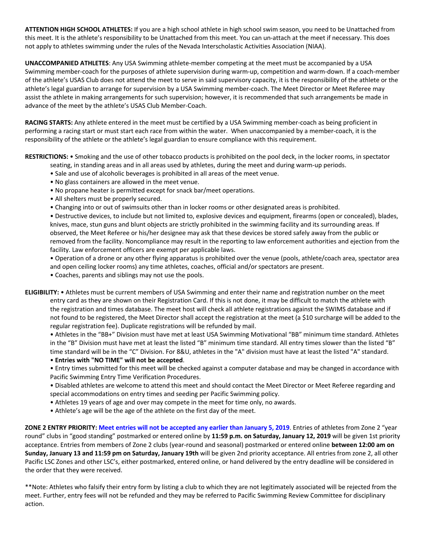**ATTENTION HIGH SCHOOL ATHLETES:** If you are a high school athlete in high school swim season, you need to be Unattached from this meet. It is the athlete's responsibility to be Unattached from this meet. You can un-attach at the meet if necessary. This does not apply to athletes swimming under the rules of the Nevada Interscholastic Activities Association (NIAA).

**UNACCOMPANIED ATHLETES**: Any USA Swimming athlete-member competing at the meet must be accompanied by a USA Swimming member-coach for the purposes of athlete supervision during warm-up, competition and warm-down. If a coach-member of the athlete's USAS Club does not attend the meet to serve in said supervisory capacity, it is the responsibility of the athlete or the athlete's legal guardian to arrange for supervision by a USA Swimming member-coach. The Meet Director or Meet Referee may assist the athlete in making arrangements for such supervision; however, it is recommended that such arrangements be made in advance of the meet by the athlete's USAS Club Member-Coach.

**RACING STARTS:** Any athlete entered in the meet must be certified by a USA Swimming member-coach as being proficient in performing a racing start or must start each race from within the water. When unaccompanied by a member-coach, it is the responsibility of the athlete or the athlete's legal guardian to ensure compliance with this requirement.

**RESTRICTIONS:** • Smoking and the use of other tobacco products is prohibited on the pool deck, in the locker rooms, in spectator seating, in standing areas and in all areas used by athletes, during the meet and during warm-up periods.

- Sale and use of alcoholic beverages is prohibited in all areas of the meet venue.
- No glass containers are allowed in the meet venue.
- No propane heater is permitted except for snack bar/meet operations.
- All shelters must be properly secured.
- Changing into or out of swimsuits other than in locker rooms or other designated areas is prohibited.

• Destructive devices, to include but not limited to, explosive devices and equipment, firearms (open or concealed), blades, knives, mace, stun guns and blunt objects are strictly prohibited in the swimming facility and its surrounding areas. If observed, the Meet Referee or his/her designee may ask that these devices be stored safely away from the public or removed from the facility. Noncompliance may result in the reporting to law enforcement authorities and ejection from the facility. Law enforcement officers are exempt per applicable laws.

• Operation of a drone or any other flying apparatus is prohibited over the venue (pools, athlete/coach area, spectator area and open ceiling locker rooms) any time athletes, coaches, official and/or spectators are present.

- Coaches, parents and siblings may not use the pools.
- **ELIGIBILITY:**  Athletes must be current members of USA Swimming and enter their name and registration number on the meet entry card as they are shown on their Registration Card. If this is not done, it may be difficult to match the athlete with the registration and times database. The meet host will check all athlete registrations against the SWIMS database and if not found to be registered, the Meet Director shall accept the registration at the meet (a \$10 surcharge will be added to the regular registration fee). Duplicate registrations will be refunded by mail.

• Athletes in the "BB+" Division must have met at least USA Swimming Motivational "BB" minimum time standard. Athletes in the "B" Division must have met at least the listed "B" minimum time standard. All entry times slower than the listed "B" time standard will be in the "C" Division. For 8&U, athletes in the "A" division must have at least the listed "A" standard.

# • **Entries with "NO TIME" will not be accepted**.

• Entry times submitted for this meet will be checked against a computer database and may be changed in accordance with Pacific Swimming Entry Time Verification Procedures.

- Disabled athletes are welcome to attend this meet and should contact the Meet Director or Meet Referee regarding and special accommodations on entry times and seeding per Pacific Swimming policy.
- Athletes 19 years of age and over may compete in the meet for time only, no awards.
- Athlete's age will be the age of the athlete on the first day of the meet.

**ZONE 2 ENTRY PRIORITY: Meet entries will not be accepted any earlier than January 5, 2019**. Entries of athletes from Zone 2 "year round" clubs in "good standing" postmarked or entered online by **11:59 p.m. on Saturday, January 12, 2019** will be given 1st priority acceptance. Entries from members of Zone 2 clubs (year-round and seasonal) postmarked or entered online **between 12:00 am on Sunday, January 13 and 11:59 pm on Saturday, January 19th** will be given 2nd priority acceptance. All entries from zone 2, all other Pacific LSC Zones and other LSC's, either postmarked, entered online, or hand delivered by the entry deadline will be considered in the order that they were received.

\*\*Note: Athletes who falsify their entry form by listing a club to which they are not legitimately associated will be rejected from the meet. Further, entry fees will not be refunded and they may be referred to Pacific Swimming Review Committee for disciplinary action.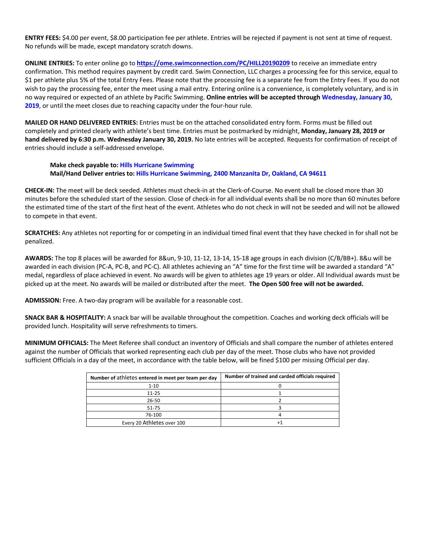**ENTRY FEES:** \$4.00 per event, \$8.00 participation fee per athlete. Entries will be rejected if payment is not sent at time of request. No refunds will be made, except mandatory scratch downs.

**ONLINE ENTRIES:** To enter online go to **https://ome.swimconnection.com/PC/HILL20190209** to receive an immediate entry confirmation. This method requires payment by credit card. Swim Connection, LLC charges a processing fee for this service, equal to \$1 per athlete plus 5% of the total Entry Fees. Please note that the processing fee is a separate fee from the Entry Fees. If you do not wish to pay the processing fee, enter the meet using a mail entry. Entering online is a convenience, is completely voluntary, and is in no way required or expected of an athlete by Pacific Swimming. **Online entries will be accepted through Wednesday, January 30, 2019**, or until the meet closes due to reaching capacity under the four-hour rule.

**MAILED OR HAND DELIVERED ENTRIES:** Entries must be on the attached consolidated entry form. Forms must be filled out completely and printed clearly with athlete's best time. Entries must be postmarked by midnight, **Monday, January 28, 2019 or hand delivered by 6:30 p.m. Wednesday January 30, 2019.** No late entries will be accepted. Requests for confirmation of receipt of entries should include a self-addressed envelope.

# **Make check payable to: Hills Hurricane Swimming Mail/Hand Deliver entries to: Hills Hurricane Swimming, 2400 Manzanita Dr, Oakland, CA 94611**

**CHECK-IN:** The meet will be deck seeded. Athletes must check-in at the Clerk-of-Course. No event shall be closed more than 30 minutes before the scheduled start of the session. Close of check-in for all individual events shall be no more than 60 minutes before the estimated time of the start of the first heat of the event. Athletes who do not check in will not be seeded and will not be allowed to compete in that event.

**SCRATCHES:** Any athletes not reporting for or competing in an individual timed final event that they have checked in for shall not be penalized.

**AWARDS:** The top 8 places will be awarded for 8&un, 9-10, 11-12, 13-14, 15-18 age groups in each division (C/B/BB+). 8&u will be awarded in each division (PC-A, PC-B, and PC-C). All athletes achieving an "A" time for the first time will be awarded a standard "A" medal, regardless of place achieved in event. No awards will be given to athletes age 19 years or older. All Individual awards must be picked up at the meet. No awards will be mailed or distributed after the meet. **The Open 500 free will not be awarded.**

**ADMISSION:** Free. A two-day program will be available for a reasonable cost.

**SNACK BAR & HOSPITALITY:** A snack bar will be available throughout the competition. Coaches and working deck officials will be provided lunch. Hospitality will serve refreshments to timers.

**MINIMUM OFFICIALS:** The Meet Referee shall conduct an inventory of Officials and shall compare the number of athletes entered against the number of Officials that worked representing each club per day of the meet. Those clubs who have not provided sufficient Officials in a day of the meet, in accordance with the table below, will be fined \$100 per missing Official per day.

| Number of athletes entered in meet per team per day | Number of trained and carded officials required |  |  |  |
|-----------------------------------------------------|-------------------------------------------------|--|--|--|
| $1 - 10$                                            |                                                 |  |  |  |
| $11 - 25$                                           |                                                 |  |  |  |
| 26-50                                               |                                                 |  |  |  |
| 51-75                                               |                                                 |  |  |  |
| 76-100                                              |                                                 |  |  |  |
| Every 20 Athletes over 100                          |                                                 |  |  |  |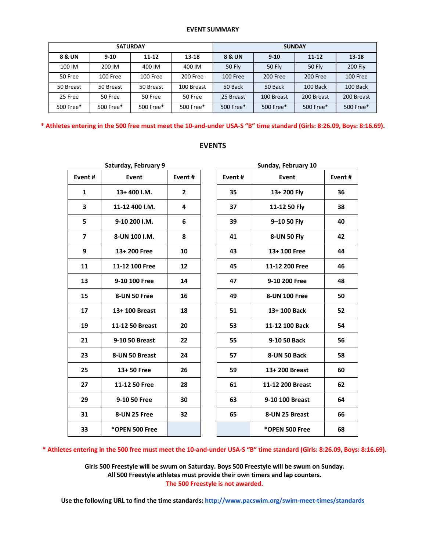#### **EVENT SUMMARY**

| <b>SATURDAY</b>   |           |           |            | <b>SUNDAY</b> |               |            |                |
|-------------------|-----------|-----------|------------|---------------|---------------|------------|----------------|
| <b>8 &amp; UN</b> | $9 - 10$  | $11 - 12$ | $13 - 18$  | 8 & UN        | $9 - 10$      | $11 - 12$  | $13 - 18$      |
| 100 IM            | 200 IM    | 400 IM    | 400 IM     | <b>50 Fly</b> | <b>50 Fly</b> | 50 Fly     | <b>200 Fly</b> |
| 50 Free           | 100 Free  | 100 Free  | 200 Free   | 100 Free      | 200 Free      | 200 Free   | 100 Free       |
| 50 Breast         | 50 Breast | 50 Breast | 100 Breast | 50 Back       | 50 Back       | 100 Back   | 100 Back       |
| 25 Free           | 50 Free   | 50 Free   | 50 Free    | 25 Breast     | 100 Breast    | 200 Breast | 200 Breast     |
| 500 Free*         | 500 Free* | 500 Free* | 500 Free*  | 500 Free*     | 500 Free*     | 500 Free*  | 500 Free*      |

**\* Athletes entering in the 500 free must meet the 10-and-under USA-S "B" time standard (Girls: 8:26.09, Boys: 8:16.69).**

| Saturday, February 9 |                 |        |  |  |  |  |  |  |
|----------------------|-----------------|--------|--|--|--|--|--|--|
| Event#               | Event           | Event# |  |  |  |  |  |  |
| 1                    | 13+400 I.M.     | 2      |  |  |  |  |  |  |
| 3                    | 11-12 400 I.M.  | 4      |  |  |  |  |  |  |
| 5                    | 9-10 200 I.M.   | 6      |  |  |  |  |  |  |
| 7                    | 8-UN 100 I.M.   | 8      |  |  |  |  |  |  |
| 9                    | 13+200 Free     | 10     |  |  |  |  |  |  |
| 11                   | 11-12 100 Free  | 12     |  |  |  |  |  |  |
| 13                   | 9-10 100 Free   | 14     |  |  |  |  |  |  |
| 15                   | 8-UN 50 Free    | 16     |  |  |  |  |  |  |
| 17                   | 13+ 100 Breast  | 18     |  |  |  |  |  |  |
| 19                   | 11-12 50 Breast | 20     |  |  |  |  |  |  |
| 21                   | 9-10 50 Breast  | 22     |  |  |  |  |  |  |
| 23                   | 8-UN 50 Breast  | 24     |  |  |  |  |  |  |
| 25                   | 13+50 Free      | 26     |  |  |  |  |  |  |
| 27                   | 11-12 50 Free   | 28     |  |  |  |  |  |  |
| 29                   | 9-10 50 Free    | 30     |  |  |  |  |  |  |
| 31                   | 8-UN 25 Free    | 32     |  |  |  |  |  |  |
| 33                   | *OPEN 500 Free  |        |  |  |  |  |  |  |
|                      |                 |        |  |  |  |  |  |  |

# **EVENTS**

| Saturday, February 9 |                 |              | Sunday, February 10 |                  |        |  |  |
|----------------------|-----------------|--------------|---------------------|------------------|--------|--|--|
| Event#               | Event#<br>Event |              | Event#              | Event            | Event# |  |  |
| 1                    | 13+400 I.M.     | $\mathbf{2}$ | 35                  | 13+200 Fly       | 36     |  |  |
| 3                    | 11-12 400 I.M.  | 4            | 37                  | 11-12 50 Fly     | 38     |  |  |
| 5                    | 9-10 200 I.M.   | 6            | 39                  | 9-10 50 Fly      | 40     |  |  |
| $\overline{ }$       | 8-UN 100 I.M.   | 8            | 8-UN 50 Fly<br>41   |                  | 42     |  |  |
| 9                    | 13+200 Free     | 10           | 43                  | 13+100 Free      | 44     |  |  |
| 11                   | 11-12 100 Free  | 12           | 45                  | 11-12 200 Free   | 46     |  |  |
| 13                   | 9-10 100 Free   | 14           | 47                  | 9-10 200 Free    | 48     |  |  |
| 15                   | 8-UN 50 Free    | 16           | 49                  | 8-UN 100 Free    | 50     |  |  |
| 17                   | 13+100 Breast   | 18           | 51                  | 13+100 Back      | 52     |  |  |
| 19                   | 11-12 50 Breast | 20           | 53                  | 11-12 100 Back   | 54     |  |  |
| 21                   | 9-10 50 Breast  | 22           | 55                  | 9-10 50 Back     | 56     |  |  |
| 23                   | 8-UN 50 Breast  | 24           | 57                  | 8-UN 50 Back     | 58     |  |  |
| 25                   | 13+50 Free      | 26           | 59                  | 13+200 Breast    | 60     |  |  |
| 27                   | 11-12 50 Free   | 28           | 61                  | 11-12 200 Breast | 62     |  |  |
| 29                   | 9-10 50 Free    | 30           | 63                  | 9-10 100 Breast  | 64     |  |  |
| 31                   | 8-UN 25 Free    | 32           | 65                  | 8-UN 25 Breast   | 66     |  |  |
| 33                   | *OPEN 500 Free  |              |                     | *OPEN 500 Free   | 68     |  |  |

**\* Athletes entering in the 500 free must meet the 10-and-under USA-S "B" time standard (Girls: 8:26.09, Boys: 8:16.69).**

**Girls 500 Freestyle will be swum on Saturday. Boys 500 Freestyle will be swum on Sunday. All 500 Freestyle athletes must provide their own timers and lap counters. The 500 Freestyle is not awarded.**

**Use the following URL to find the time standards: http://www.pacswim.org/swim-meet-times/standards**